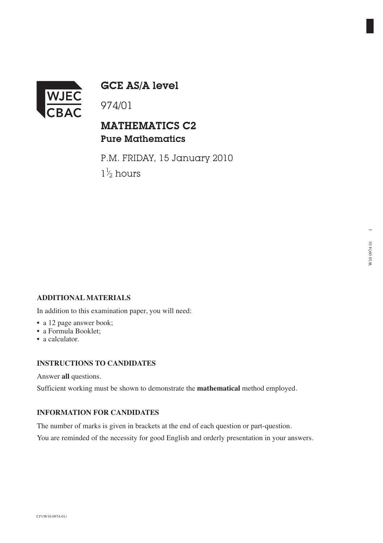

GCE AS/A level

## MATHEMATICS C2 Pure Mathematics

P.M. FRIDAY, 15 January 2010  $1\frac{1}{2}$  hours ⁄

### **ADDITIONAL MATERIALS**

In addition to this examination paper, you will need:

- a 12 page answer book;
- a Formula Booklet;
- a calculator.

#### **INSTRUCTIONS TO CANDIDATES**

Answer **all** questions.

Sufficient working must be shown to demonstrate the **mathematical** method employed.

#### **INFORMATION FOR CANDIDATES**

The number of marks is given in brackets at the end of each question or part-question.

You are reminded of the necessity for good English and orderly presentation in your answers.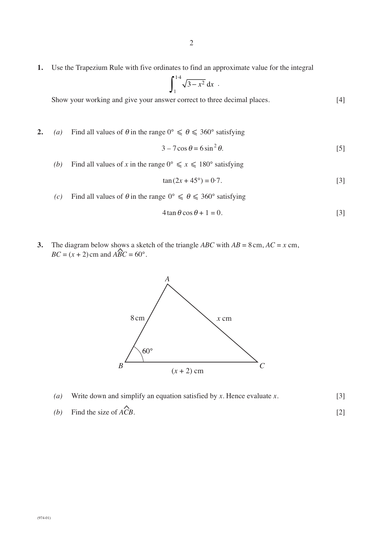**1.** Use the Trapezium Rule with five ordinates to find an approximate value for the integral

$$
\int_1^{1.4} \sqrt{3-x^2} \, \mathrm{d}x
$$

Show your working and give your answer correct to three decimal places. [4]

**2.** *(a)* Find all values of  $\theta$  in the range  $0^{\circ} \le \theta \le 360^{\circ}$  satisfying

$$
3 - 7\cos\theta = 6\sin^2\theta. \tag{5}
$$

*(b)* Find all values of *x* in the range  $0^{\circ} \le x \le 180^{\circ}$  satisfying

$$
\tan(2x + 45^{\circ}) = 0.7. \tag{3}
$$

*(c)* Find all values of  $\theta$  in the range  $0^{\circ} \le \theta \le 360^{\circ}$  satisfying

$$
4\tan\theta\cos\theta + 1 = 0.\tag{3}
$$

**3.** The diagram below shows a sketch of the triangle *ABC* with  $AB = 8 \text{ cm}$ ,  $AC = x \text{ cm}$ ,  $BC = (x + 2)$  cm and  $\angle ABC = 60^{\circ}$ .  $\frac{1}{2}$ 



- *(a)* Write down and simplify an equation satisfied by *x*. Hence evaluate *x*. [3]  $\overline{\phantom{a}}$
- *(b)* Find the size of *ACB*. [2]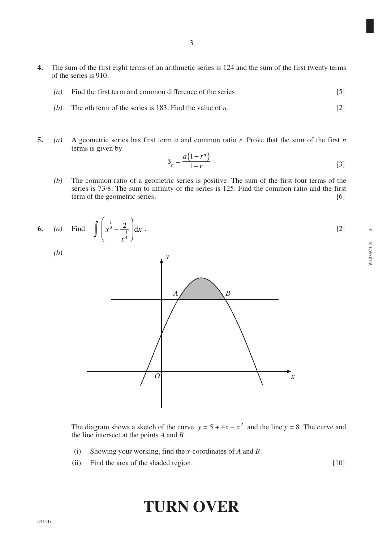- **4.** The sum of the first eight terms of an arithmetic series is 124 and the sum of the first twenty terms of the series is 910.
	- *(a)* Find the first term and common difference of the series. [5]
	- *(b)* The *n*th term of the series is 183. Find the value of *n*. [2]
- **5.** *(a)* A geometric series has first term *a* and common ratio *r*. Prove that the sum of the first *n* terms is given by

$$
S_n = \frac{a(1 - r^n)}{1 - r} \tag{3}
$$

*(b)* The common ratio of a geometric series is positive. The sum of the first four terms of the series is 73·8. The sum to infinity of the series is 125. Find the common ratio and the first term of the geometric series. [6]





The diagram shows a sketch of the curve  $y = 5 + 4x - x^2$  and the line  $y = 8$ . The curve and the line intersect at the points *A* and *B*.

- (i) Showing your working, find the *x*-coordinates of *A* and *B*.
- (ii) Find the area of the shaded region. [10]

# **TURN OVER**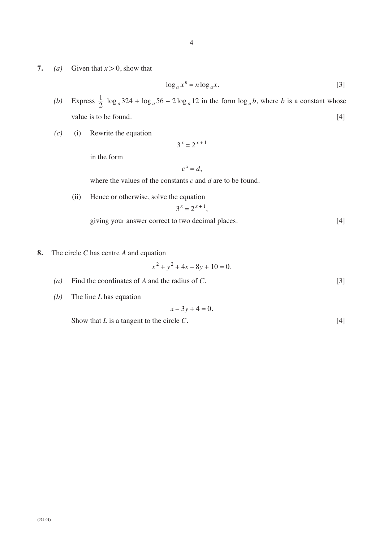- 4
- **7.** *(a)* Given that  $x > 0$ , show that

$$
\log_a x^n = n \log_a x. \tag{3}
$$

- (b) Express  $\frac{1}{2} \log_a 324 + \log_a 56 2 \log_a 12$  in the form  $\log_a b$ , where *b* is a constant whose value is to be found. [4] 2
- *(c)* (i) Rewrite the equation

$$
3^x = 2^{x+1}
$$

in the form

$$
c^x = d,
$$

where the values of the constants *c* and *d* are to be found.

(ii) Hence or otherwise, solve the equation

$$
3^x = 2^{x+1},
$$

giving your answer correct to two decimal places. [4]

**8.** The circle *C* has centre *A* and equation

$$
x^2 + y^2 + 4x - 8y + 10 = 0.
$$

- *(a)* Find the coordinates of *A* and the radius of *C*. [3]
- *(b)* The line *L* has equation

$$
x-3y+4=0.
$$

Show that *L* is a tangent to the circle *C*. [4]